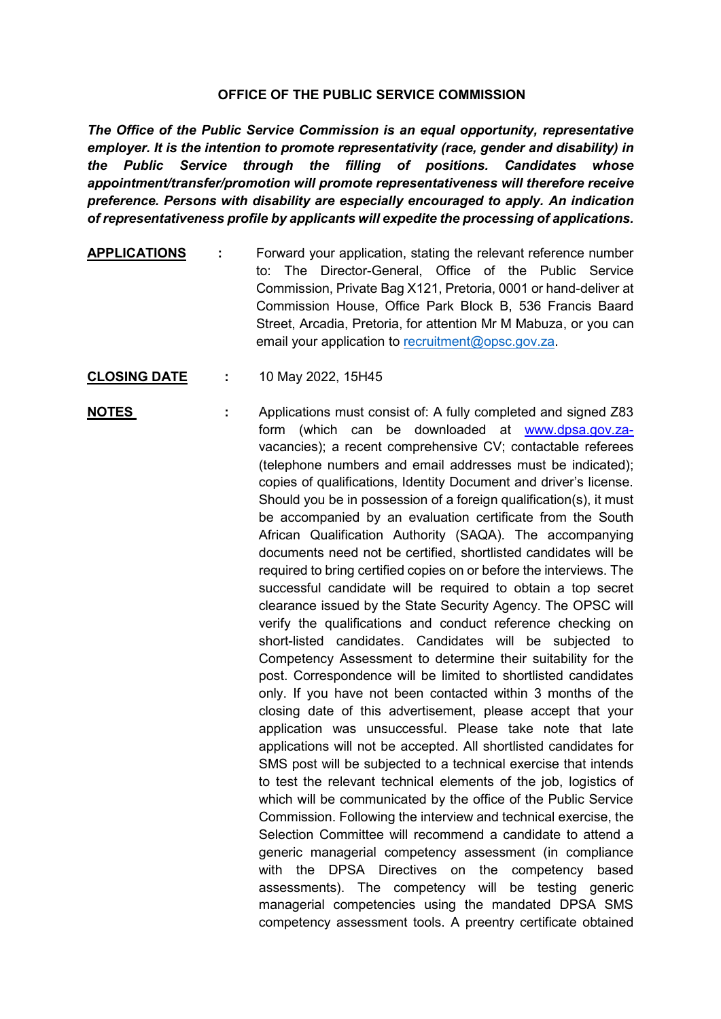## **OFFICE OF THE PUBLIC SERVICE COMMISSION**

*The Office of the Public Service Commission is an equal opportunity, representative employer. It is the intention to promote representativity (race, gender and disability) in the Public Service through the filling of positions. Candidates whose appointment/transfer/promotion will promote representativeness will therefore receive preference. Persons with disability are especially encouraged to apply. An indication of representativeness profile by applicants will expedite the processing of applications.*

- **APPLICATIONS :** Forward your application, stating the relevant reference number to: The Director-General, Office of the Public Service Commission, Private Bag X121, Pretoria, 0001 or hand-deliver at Commission House, Office Park Block B, 536 Francis Baard Street, Arcadia, Pretoria, for attention Mr M Mabuza, or you can email your application to [recruitment@opsc.gov.za.](mailto:recruitment@opsc.gov.za)
- **CLOSING DATE :** 10 May 2022, 15H45
- **NOTES** : Applications must consist of: A fully completed and signed Z83 form (which can be downloaded at [www.dpsa.gov.za](http://www.dpsa.gov.za-/)vacancies); a recent comprehensive CV; contactable referees (telephone numbers and email addresses must be indicated); copies of qualifications, Identity Document and driver's license. Should you be in possession of a foreign qualification(s), it must be accompanied by an evaluation certificate from the South African Qualification Authority (SAQA). The accompanying documents need not be certified, shortlisted candidates will be required to bring certified copies on or before the interviews. The successful candidate will be required to obtain a top secret clearance issued by the State Security Agency. The OPSC will verify the qualifications and conduct reference checking on short-listed candidates. Candidates will be subjected to Competency Assessment to determine their suitability for the post. Correspondence will be limited to shortlisted candidates only. If you have not been contacted within 3 months of the closing date of this advertisement, please accept that your application was unsuccessful. Please take note that late applications will not be accepted. All shortlisted candidates for SMS post will be subjected to a technical exercise that intends to test the relevant technical elements of the job, logistics of which will be communicated by the office of the Public Service Commission. Following the interview and technical exercise, the Selection Committee will recommend a candidate to attend a generic managerial competency assessment (in compliance with the DPSA Directives on the competency based assessments). The competency will be testing generic managerial competencies using the mandated DPSA SMS competency assessment tools. A preentry certificate obtained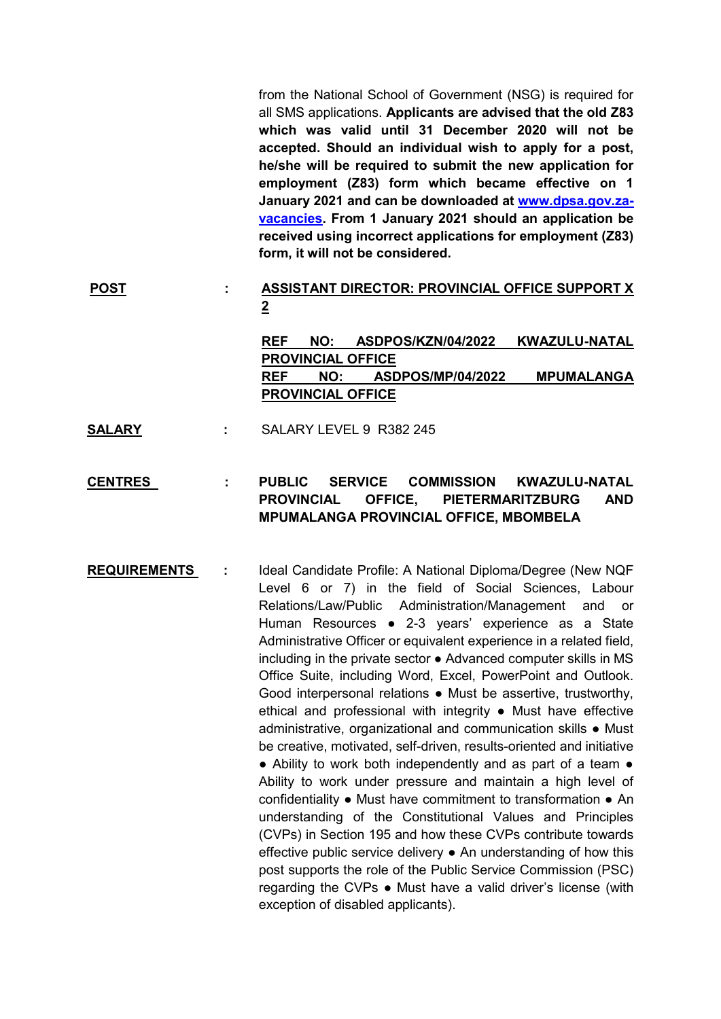from the National School of Government (NSG) is required for all SMS applications. **Applicants are advised that the old Z83 which was valid until 31 December 2020 will not be accepted. Should an individual wish to apply for a post, he/she will be required to submit the new application for employment (Z83) form which became effective on 1 January 2021 and can be downloaded at [www.dpsa.gov.za](http://www.dpsa.gov.za-vacancies/)[vacancies.](http://www.dpsa.gov.za-vacancies/) From 1 January 2021 should an application be received using incorrect applications for employment (Z83) form, it will not be considered.**

## **POST : ASSISTANT DIRECTOR: PROVINCIAL OFFICE SUPPORT X 2**

**REF NO: ASDPOS/KZN/04/2022 KWAZULU-NATAL PROVINCIAL OFFICE REF NO: ASDPOS/MP/04/2022 MPUMALANGA PROVINCIAL OFFICE**

**SALARY :** SALARY LEVEL 9 R382 245

## **CENTRES : PUBLIC SERVICE COMMISSION KWAZULU-NATAL PROVINCIAL OFFICE, PIETERMARITZBURG AND MPUMALANGA PROVINCIAL OFFICE, MBOMBELA**

**REQUIREMENTS :** Ideal Candidate Profile: A National Diploma/Degree (New NQF Level 6 or 7) in the field of Social Sciences, Labour Relations/Law/Public Administration/Management and or Human Resources ● 2-3 years' experience as a State Administrative Officer or equivalent experience in a related field, including in the private sector ● Advanced computer skills in MS Office Suite, including Word, Excel, PowerPoint and Outlook. Good interpersonal relations ● Must be assertive, trustworthy, ethical and professional with integrity ● Must have effective administrative, organizational and communication skills ● Must be creative, motivated, self-driven, results-oriented and initiative ● Ability to work both independently and as part of a team ● Ability to work under pressure and maintain a high level of confidentiality ● Must have commitment to transformation ● An understanding of the Constitutional Values and Principles (CVPs) in Section 195 and how these CVPs contribute towards effective public service delivery ● An understanding of how this post supports the role of the Public Service Commission (PSC) regarding the CVPs ● Must have a valid driver's license (with exception of disabled applicants).